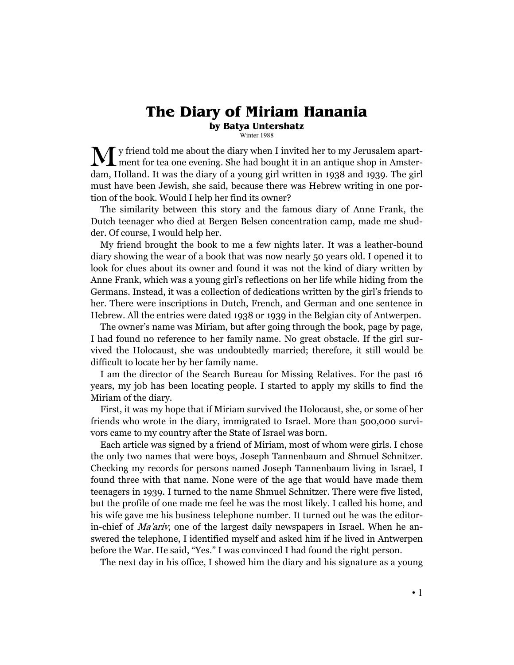## **The Diary of Miriam Hanania**

**by Batya Untershatz** Winter 1988

y friend told me about the diary when I invited her to my Jerusalem apart-

My friend told me about the diary when I invited her to my Jerusalem apart-<br>ment for tea one evening. She had bought it in an antique shop in Amsterdam, Holland. It was the diary of a young girl written in 1938 and 1939. The girl must have been Jewish, she said, because there was Hebrew writing in one portion of the book. Would I help her find its owner?

 The similarity between this story and the famous diary of Anne Frank, the Dutch teenager who died at Bergen Belsen concentration camp, made me shudder. Of course, I would help her.

 My friend brought the book to me a few nights later. It was a leather-bound diary showing the wear of a book that was now nearly 50 years old. I opened it to look for clues about its owner and found it was not the kind of diary written by Anne Frank, which was a young girl's reflections on her life while hiding from the Germans. Instead, it was a collection of dedications written by the girl's friends to her. There were inscriptions in Dutch, French, and German and one sentence in Hebrew. All the entries were dated 1938 or 1939 in the Belgian city of Antwerpen.

 The owner's name was Miriam, but after going through the book, page by page, I had found no reference to her family name. No great obstacle. If the girl survived the Holocaust, she was undoubtedly married; therefore, it still would be difficult to locate her by her family name.

 I am the director of the Search Bureau for Missing Relatives. For the past 16 years, my job has been locating people. I started to apply my skills to find the Miriam of the diary.

 First, it was my hope that if Miriam survived the Holocaust, she, or some of her friends who wrote in the diary, immigrated to Israel. More than 500,000 survivors came to my country after the State of Israel was born.

 Each article was signed by a friend of Miriam, most of whom were girls. I chose the only two names that were boys, Joseph Tannenbaum and Shmuel Schnitzer. Checking my records for persons named Joseph Tannenbaum living in Israel, I found three with that name. None were of the age that would have made them teenagers in 1939. I turned to the name Shmuel Schnitzer. There were five listed, but the profile of one made me feel he was the most likely. I called his home, and his wife gave me his business telephone number. It turned out he was the editorin-chief of *Ma'ariv*, one of the largest daily newspapers in Israel. When he answered the telephone, I identified myself and asked him if he lived in Antwerpen before the War. He said, "Yes." I was convinced I had found the right person.

The next day in his office, I showed him the diary and his signature as a young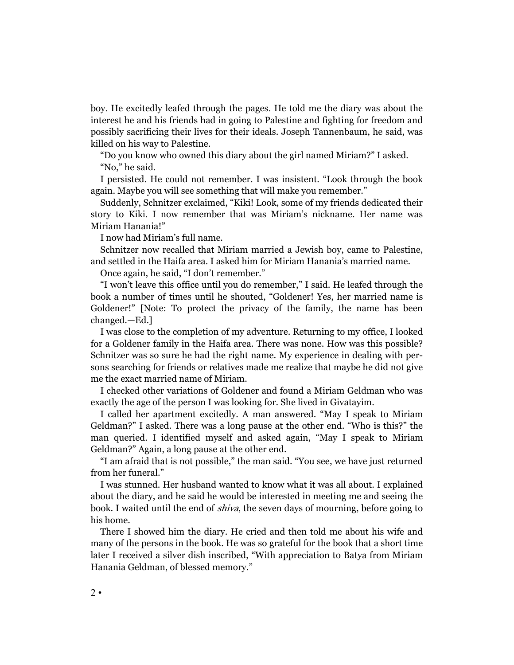boy. He excitedly leafed through the pages. He told me the diary was about the interest he and his friends had in going to Palestine and fighting for freedom and possibly sacrificing their lives for their ideals. Joseph Tannenbaum, he said, was killed on his way to Palestine.

 "Do you know who owned this diary about the girl named Miriam?" I asked. "No," he said.

 I persisted. He could not remember. I was insistent. "Look through the book again. Maybe you will see something that will make you remember."

 Suddenly, Schnitzer exclaimed, "Kiki! Look, some of my friends dedicated their story to Kiki. I now remember that was Miriam's nickname. Her name was Miriam Hanania!"

I now had Miriam's full name.

 Schnitzer now recalled that Miriam married a Jewish boy, came to Palestine, and settled in the Haifa area. I asked him for Miriam Hanania's married name.

Once again, he said, "I don't remember."

 "I won't leave this office until you do remember," I said. He leafed through the book a number of times until he shouted, "Goldener! Yes, her married name is Goldener!" [Note: To protect the privacy of the family, the name has been changed.—Ed.]

 I was close to the completion of my adventure. Returning to my office, I looked for a Goldener family in the Haifa area. There was none. How was this possible? Schnitzer was so sure he had the right name. My experience in dealing with persons searching for friends or relatives made me realize that maybe he did not give me the exact married name of Miriam.

 I checked other variations of Goldener and found a Miriam Geldman who was exactly the age of the person I was looking for. She lived in Givatayim.

 I called her apartment excitedly. A man answered. "May I speak to Miriam Geldman?" I asked. There was a long pause at the other end. "Who is this?" the man queried. I identified myself and asked again, "May I speak to Miriam Geldman?" Again, a long pause at the other end.

 "I am afraid that is not possible," the man said. "You see, we have just returned from her funeral."

 I was stunned. Her husband wanted to know what it was all about. I explained about the diary, and he said he would be interested in meeting me and seeing the book. I waited until the end of *shiva*, the seven days of mourning, before going to his home.

 There I showed him the diary. He cried and then told me about his wife and many of the persons in the book. He was so grateful for the book that a short time later I received a silver dish inscribed, "With appreciation to Batya from Miriam Hanania Geldman, of blessed memory."